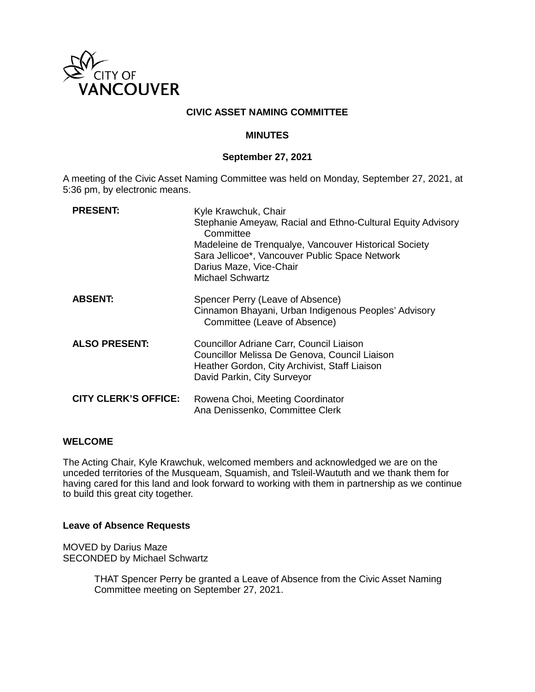

## **CIVIC ASSET NAMING COMMITTEE**

#### **MINUTES**

#### **September 27, 2021**

A meeting of the Civic Asset Naming Committee was held on Monday, September 27, 2021, at 5:36 pm, by electronic means.

| <b>PRESENT:</b>             | Kyle Krawchuk, Chair<br>Stephanie Ameyaw, Racial and Ethno-Cultural Equity Advisory<br>Committee<br>Madeleine de Trenqualye, Vancouver Historical Society<br>Sara Jellicoe*, Vancouver Public Space Network<br>Darius Maze, Vice-Chair<br>Michael Schwartz |
|-----------------------------|------------------------------------------------------------------------------------------------------------------------------------------------------------------------------------------------------------------------------------------------------------|
| <b>ABSENT:</b>              | Spencer Perry (Leave of Absence)<br>Cinnamon Bhayani, Urban Indigenous Peoples' Advisory<br>Committee (Leave of Absence)                                                                                                                                   |
| <b>ALSO PRESENT:</b>        | Councillor Adriane Carr, Council Liaison<br>Councillor Melissa De Genova, Council Liaison<br>Heather Gordon, City Archivist, Staff Liaison<br>David Parkin, City Surveyor                                                                                  |
| <b>CITY CLERK'S OFFICE:</b> | Rowena Choi, Meeting Coordinator<br>Ana Denissenko, Committee Clerk                                                                                                                                                                                        |

#### **WELCOME**

The Acting Chair, Kyle Krawchuk, welcomed members and acknowledged we are on the unceded territories of the Musqueam, Squamish, and Tsleil-Waututh and we thank them for having cared for this land and look forward to working with them in partnership as we continue to build this great city together.

#### **Leave of Absence Requests**

MOVED by Darius Maze SECONDED by Michael Schwartz

> THAT Spencer Perry be granted a Leave of Absence from the Civic Asset Naming Committee meeting on September 27, 2021.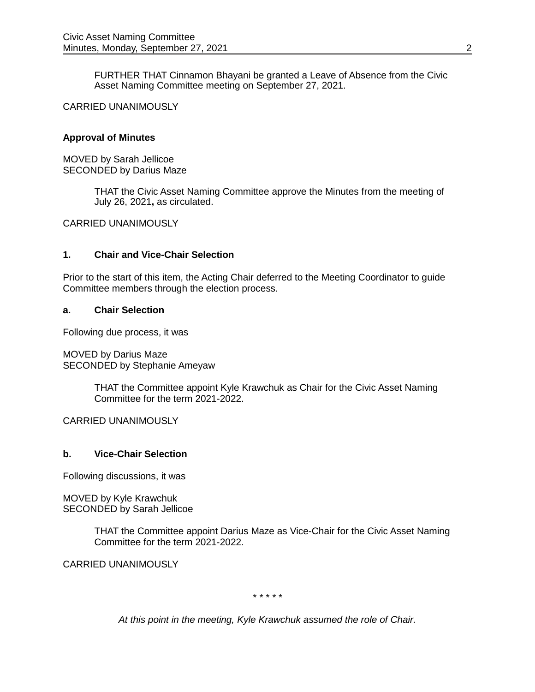FURTHER THAT Cinnamon Bhayani be granted a Leave of Absence from the Civic Asset Naming Committee meeting on September 27, 2021.

#### CARRIED UNANIMOUSLY

## **Approval of Minutes**

MOVED by Sarah Jellicoe SECONDED by Darius Maze

> THAT the Civic Asset Naming Committee approve the Minutes from the meeting of July 26, 2021**,** as circulated.

CARRIED UNANIMOUSLY

## **1. Chair and Vice-Chair Selection**

Prior to the start of this item, the Acting Chair deferred to the Meeting Coordinator to guide Committee members through the election process.

## **a. Chair Selection**

Following due process, it was

MOVED by Darius Maze SECONDED by Stephanie Ameyaw

> THAT the Committee appoint Kyle Krawchuk as Chair for the Civic Asset Naming Committee for the term 2021-2022.

CARRIED UNANIMOUSLY

#### **b. Vice-Chair Selection**

Following discussions, it was

MOVED by Kyle Krawchuk SECONDED by Sarah Jellicoe

> THAT the Committee appoint Darius Maze as Vice-Chair for the Civic Asset Naming Committee for the term 2021-2022.

CARRIED UNANIMOUSLY

*\* \* \* \* \**

*At this point in the meeting, Kyle Krawchuk assumed the role of Chair.*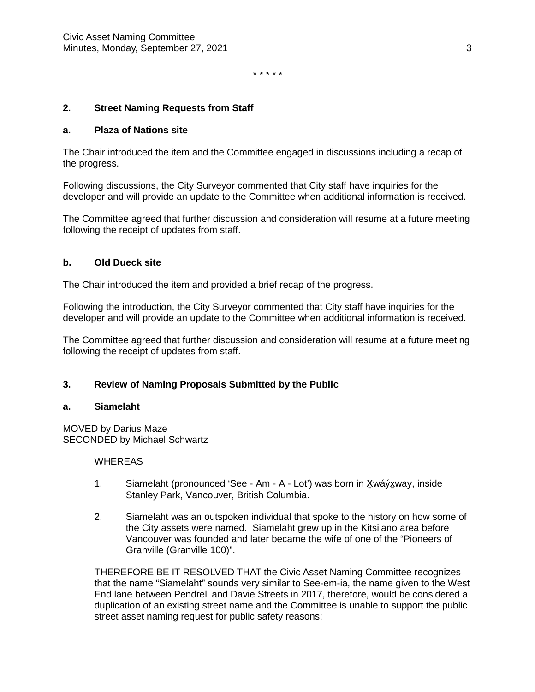*\* \* \* \* \**

#### **2. Street Naming Requests from Staff**

#### **a. Plaza of Nations site**

The Chair introduced the item and the Committee engaged in discussions including a recap of the progress.

Following discussions, the City Surveyor commented that City staff have inquiries for the developer and will provide an update to the Committee when additional information is received.

The Committee agreed that further discussion and consideration will resume at a future meeting following the receipt of updates from staff.

#### **b. Old Dueck site**

The Chair introduced the item and provided a brief recap of the progress.

Following the introduction, the City Surveyor commented that City staff have inquiries for the developer and will provide an update to the Committee when additional information is received.

The Committee agreed that further discussion and consideration will resume at a future meeting following the receipt of updates from staff.

## **3. Review of Naming Proposals Submitted by the Public**

#### **a. Siamelaht**

MOVED by Darius Maze SECONDED by Michael Schwartz

#### WHEREAS

- 1. Siamelaht (pronounced 'See Am A Lot') was born in X̱wáýx̱way, inside Stanley Park, Vancouver, British Columbia.
- 2. Siamelaht was an outspoken individual that spoke to the history on how some of the City assets were named. Siamelaht grew up in the Kitsilano area before Vancouver was founded and later became the wife of one of the "Pioneers of Granville (Granville 100)".

THEREFORE BE IT RESOLVED THAT the Civic Asset Naming Committee recognizes that the name "Siamelaht" sounds very similar to See-em-ia, the name given to the West End lane between Pendrell and Davie Streets in 2017, therefore, would be considered a duplication of an existing street name and the Committee is unable to support the public street asset naming request for public safety reasons;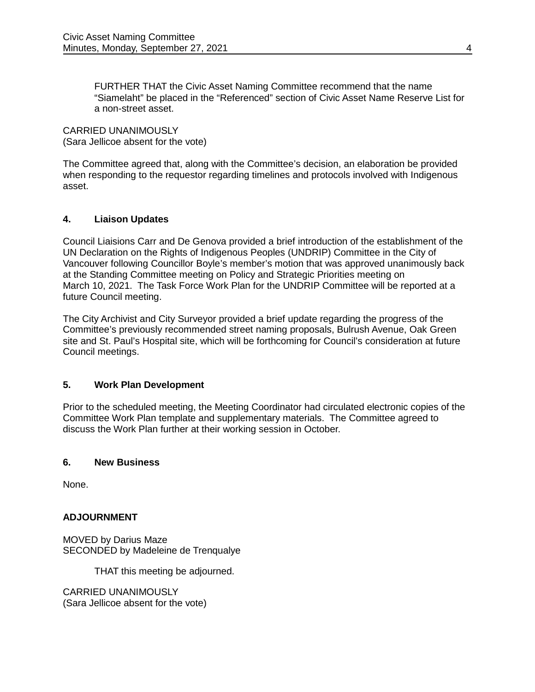FURTHER THAT the Civic Asset Naming Committee recommend that the name "Siamelaht" be placed in the "Referenced" section of Civic Asset Name Reserve List for a non-street asset.

CARRIED UNANIMOUSLY (Sara Jellicoe absent for the vote)

The Committee agreed that, along with the Committee's decision, an elaboration be provided when responding to the requestor regarding timelines and protocols involved with Indigenous asset.

# **4. Liaison Updates**

Council Liaisions Carr and De Genova provided a brief introduction of the establishment of the UN Declaration on the Rights of Indigenous Peoples (UNDRIP) Committee in the City of Vancouver following Councillor Boyle's member's motion that was approved unanimously back at the Standing Committee meeting on Policy and Strategic Priorities meeting on March 10, 2021. The Task Force Work Plan for the UNDRIP Committee will be reported at a future Council meeting.

The City Archivist and City Surveyor provided a brief update regarding the progress of the Committee's previously recommended street naming proposals, Bulrush Avenue, Oak Green site and St. Paul's Hospital site, which will be forthcoming for Council's consideration at future Council meetings.

## **5. Work Plan Development**

Prior to the scheduled meeting, the Meeting Coordinator had circulated electronic copies of the Committee Work Plan template and supplementary materials. The Committee agreed to discuss the Work Plan further at their working session in October.

## **6. New Business**

None.

## **ADJOURNMENT**

MOVED by Darius Maze SECONDED by Madeleine de Trenqualye

THAT this meeting be adjourned.

CARRIED UNANIMOUSLY (Sara Jellicoe absent for the vote)